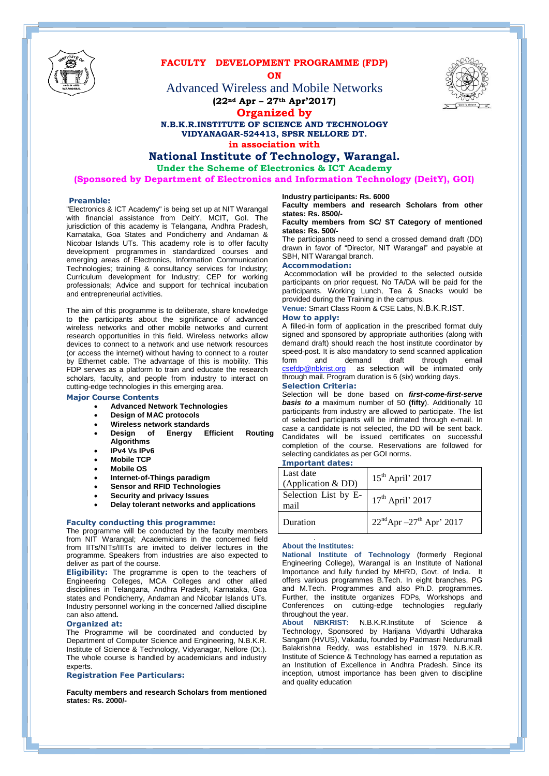

## **FACULTY DEVELOPMENT PROGRAMME (FDP)**

**ON**

Advanced Wireless and Mobile Networks **(22nd Apr – 27th Apr'2017)**



**Organized by**

#### **N.B.K.R.INSTITUTE OF SCIENCE AND TECHNOLOGY VIDYANAGAR-524413, SPSR NELLORE DT. in association with**

### **National Institute of Technology, Warangal.**

**Under the Scheme of Electronics & ICT Academy**

**(Sponsored by Department of Electronics and Information Technology (DeitY), GOI)**

#### **Preamble:**

"Electronics & ICT Academy" is being set up at NIT Warangal with financial assistance from DeitY, MCIT, GoI. The jurisdiction of this academy is Telangana, Andhra Pradesh, Karnataka, Goa States and Pondicherry and Andaman & Nicobar Islands UTs. This academy role is to offer faculty development programmes in standardized courses and emerging areas of Electronics, Information Communication Technologies; training & consultancy services for Industry; Curriculum development for Industry; CEP for working professionals; Advice and support for technical incubation and entrepreneurial activities.

The aim of this programme is to deliberate, share knowledge to the participants about the significance of advanced wireless networks and other mobile networks and current research opportunities in this field. Wireless networks allow devices to connect to a network and use network resources (or access the internet) without having to connect to a router by Ethernet cable. The advantage of this is mobility. This FDP serves as a platform to train and educate the research scholars, faculty, and people from industry to interact on cutting-edge technologies in this emerging area.

#### **Major Course Contents**

- **Advanced Network Technologies**
- **Design of MAC protocols**
- **Wireless network standards**
- **Design of Energy Efficient Routing Algorithms**
- **IPv4 Vs IPv6**
- **Mobile TCP**
- **Mobile OS**
- **Internet-of-Things paradigm**
- **Sensor and RFID Technologies**
- **Security and privacy Issues**
- **Delay tolerant networks and applications**

#### **Faculty conducting this programme:**

The programme will be conducted by the faculty members from NIT Warangal; Academicians in the concerned field from IITs/NITs/IIITs are invited to deliver lectures in the programme. Speakers from industries are also expected to deliver as part of the course.

**Eligibility:** The programme is open to the teachers of Engineering Colleges, MCA Colleges and other allied disciplines in Telangana, Andhra Pradesh, Karnataka, Goa states and Pondicherry, Andaman and Nicobar Islands UTs. Industry personnel working in the concerned /allied discipline can also attend**.**

#### **Organized at:**

The Programme will be coordinated and conducted by Department of Computer Science and Engineering, N.B.K.R. Institute of Science & Technology, Vidyanagar, Nellore (Dt.). The whole course is handled by academicians and industry experts.

#### **Registration Fee Particulars:**

**Faculty members and research Scholars from mentioned states: Rs. 2000/-**

#### **Industry participants: Rs. 6000**

**Faculty members and research Scholars from other states: Rs. 8500/-**

#### **Faculty members from SC/ ST Category of mentioned states: Rs. 500/-**

The participants need to send a crossed demand draft (DD) drawn in favor of "Director, NIT Warangal" and payable at SBH, NIT Warangal branch.

#### **Accommodation:**

Accommodation will be provided to the selected outside participants on prior request. No TA/DA will be paid for the participants. Working Lunch, Tea & Snacks would be provided during the Training in the campus.

**Venue:** Smart Class Room & CSE Labs, N.B.K.R.IST.

#### **How to apply:**

A filled-in form of application in the prescribed format duly signed and sponsored by appropriate authorities (along with demand draft) should reach the host institute coordinator by speed-post. It is also mandatory to send scanned application<br>form and demand draft through email form and demand draft through email [csefdp@nbkrist.org](mailto:csefdp@nbkrist.org) as selection will be intimated only through mail. Program duration is 6 (six) working days.

#### **Selection Criteria:**

Selection will be done based on *first-come-first-serve basis to a* maximum number of 50 **(fifty**). Additionally 10 participants from industry are allowed to participate. The list of selected participants will be intimated through e-mail. In case a candidate is not selected, the DD will be sent back. Candidates will be issued certificates on successful completion of the course. Reservations are followed for selecting candidates as per GOI norms.

#### **Important dates:**

| Last date<br>(Application & DD) | $15th$ April' 2017                               |
|---------------------------------|--------------------------------------------------|
| Selection List by E-<br>mail    | $17th$ April' 2017                               |
| Duration                        | $22^{\text{nd}}$ Apr $-27^{\text{th}}$ Apr' 2017 |

#### . **About the Institutes:**

**National Institute of Technology** (formerly Regional Engineering College), Warangal is an Institute of National Importance and fully funded by MHRD, Govt. of India. It offers various programmes B.Tech. In eight branches, PG and M.Tech. Programmes and also Ph.D. programmes. Further, the institute organizes FDPs, Workshops and Conferences on cutting-edge technologies regularly throughout the year.

**About NBKRIST:** N.B.K.R.Institute of Science & Technology, Sponsored by Harijana Vidyarthi Udharaka Sangam (HVUS), Vakadu, founded by Padmasri Nedurumalli Balakrishna Reddy, was established in 1979. N.B.K.R. Institute of Science & Technology has earned a reputation as an Institution of Excellence in Andhra Pradesh. Since its inception, utmost importance has been given to discipline and quality education